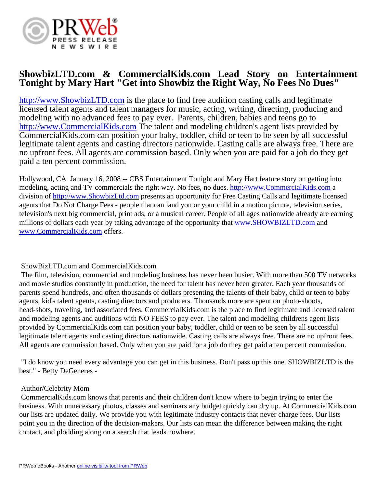

# **ShowbizLTD.com & CommercialKids.com Lead Story on Entertainment Tonight by Mary Hart "Get into Showbiz the Right Way, No Fees No Dues"**

<http://www.ShowbizLTD.com> is the place to find free audition casting calls and legitimate licensed talent agents and talent managers for music, acting, writing, directing, producing and modeling with no advanced fees to pay ever. Parents, children, babies and teens go to <http://www.CommercialKids.com>The talent and modeling children's agent lists provided by CommercialKids.com can position your baby, toddler, child or teen to be seen by all successful legitimate talent agents and casting directors nationwide. Casting calls are always free. There are no upfront fees. All agents are commission based. Only when you are paid for a job do they get paid a ten percent commission.

Hollywood, CA January 16, 2008 -- CBS Entertainment Tonight and Mary Hart feature story on getting into modeling, acting and TV commercials the right way. No fees, no dues. <http://www.CommercialKids.com> a division of <http://www.ShowbizLtd.com>presents an opportunity for Free Casting Calls and legitimate licensed agents that Do Not Charge Fees - people that can land you or your child in a motion picture, television series, television's next big commercial, print ads, or a musical career. People of all ages nationwide already are earning millions of dollars each year by taking advantage of the opportunity that [www.SHOWBIZLTD.com](http://www.SHOWBIZLTD.com) and [www.CommercialKids.com](http://www.CommercialKids.com) offers.

## ShowBizLTD.com and CommercialKids.com

 The film, television, commercial and modeling business has never been busier. With more than 500 TV networks and movie studios constantly in production, the need for talent has never been greater. Each year thousands of parents spend hundreds, and often thousands of dollars presenting the talents of their baby, child or teen to baby agents, kid's talent agents, casting directors and producers. Thousands more are spent on photo-shoots, head-shots, traveling, and associated fees. CommercialKids.com is the place to find legitimate and licensed talent and modeling agents and auditions with NO FEES to pay ever. The talent and modeling childrens agent lists provided by CommercialKids.com can position your baby, toddler, child or teen to be seen by all successful legitimate talent agents and casting directors nationwide. Casting calls are always free. There are no upfront fees. All agents are commission based. Only when you are paid for a job do they get paid a ten percent commission.

 "I do know you need every advantage you can get in this business. Don't pass up this one. SHOWBIZLTD is the best." - Betty DeGeneres -

#### Author/Celebrity Mom

 CommercialKids.com knows that parents and their children don't know where to begin trying to enter the business. With unnecessary photos, classes and seminars any budget quickly can dry up. At CommercialKids.com our lists are updated daily. We provide you with legitimate industry contacts that never charge fees. Our lists point you in the direction of the decision-makers. Our lists can mean the difference between making the right contact, and plodding along on a search that leads nowhere.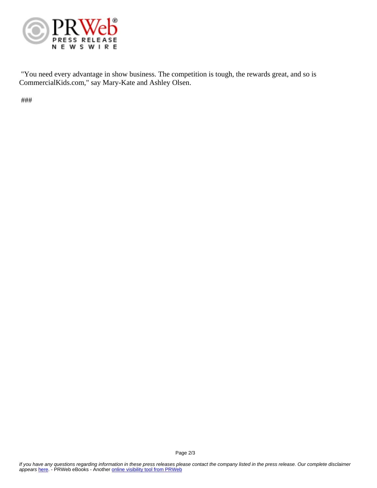

 "You need every advantage in show business. The competition is tough, the rewards great, and so is CommercialKids.com," say Mary-Kate and Ashley Olsen.

###